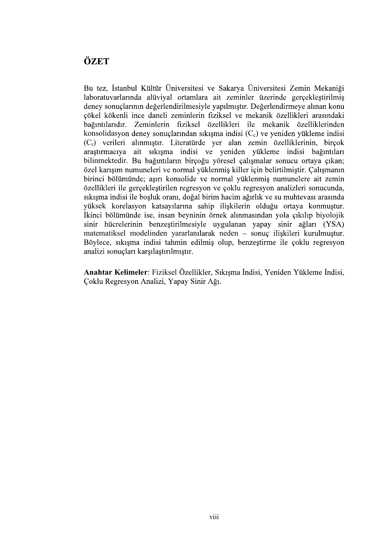## ÖZET

Bu tez, İstanbul Kültür Üniversitesi ve Sakarya Üniversitesi Zemin Mekaniği laboratuvarlarında alüviyal ortamlara ait zeminler üzerinde gerçekleştirilmiş deney sonuclarının değerlendirilmesiyle yapılmıştır. Değerlendirmeye alınan konu çökel kökenli ince daneli zeminlerin fiziksel ve mekanik özellikleri arasındaki bağıntılarıdır. Zeminlerin fiziksel özellikleri ile mekanik özelliklerinden konsolidas yon deney sonuçlarından sıkışma indisi  $(C_c)$  ve yeniden yükleme indisi (C<sub>r</sub>) verileri alınmıştır. araştırmacıya ait sıkışma indisi ve yeniden yükleme indisi bağıntıları bilinmektedir. Bu bağıntıların birçoğu yöresel çalışmalar sonucu ortaya çıkan; özel karısım numuneleri ve normal yüklenmiş killer için belirtilmiştir. Calısmanın birinci bölümünde; asırı konsolide ve normal yüklenmiş numunelere ait zemin özellikleri ile gerçekleştirilen regresyon ve çoklu regresyon analizleri sonucunda, sıkışma indisi ile boşluk oranı, doğal birim hacim ağırlık ve su muhtevası arasında vüksek korelasvon katsavılarına sahip iliskilerin olduğu ortava konmustur. İkinci bölümünde ise, insan beyninin örnek alınmasından yola çıkılıp biyolojik sinir hücrelerinin benzeştirilmesiyle uygulanan yapay sinir ağları (YSA) matematiksel modelinden yararlanılarak neden – sonuç ilişkileri kurulmuştur. Böylece, sıkısma indisi tahmin edilmis olup, benzestirme ile coklu regresyon analizi sonuçları karşılaştırılmıştır.

Anahtar Kelimeler: Fiziksel Özellikler, Sıkısma İndisi, Yeniden Yükleme İndisi, Çoklu Regresyon Analizi, Yapay Sinir Ağı.